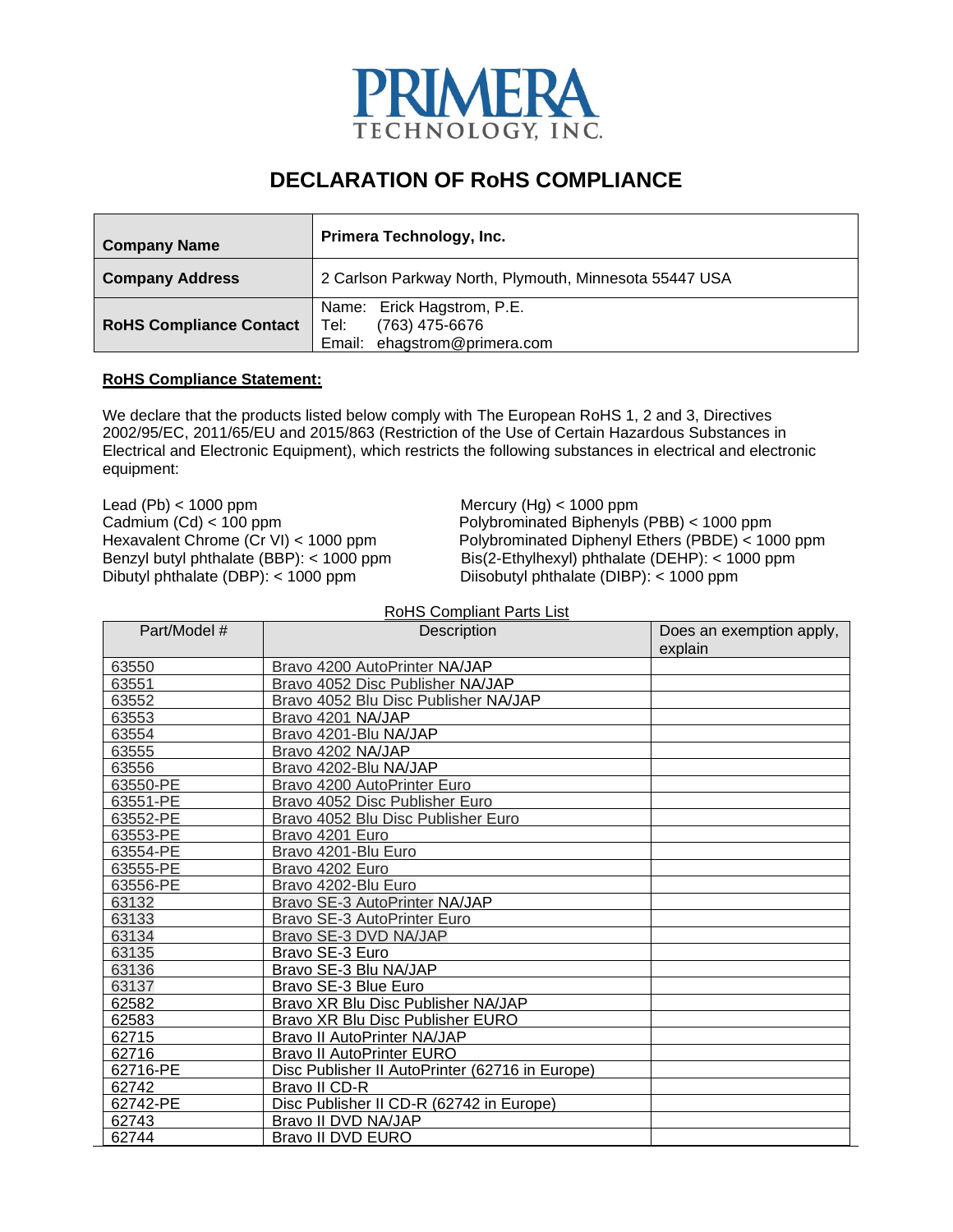

## **DECLARATION OF RoHS COMPLIANCE**

| <b>Company Name</b>            | Primera Technology, Inc.                                                               |  |
|--------------------------------|----------------------------------------------------------------------------------------|--|
| <b>Company Address</b>         | 2 Carlson Parkway North, Plymouth, Minnesota 55447 USA                                 |  |
| <b>RoHS Compliance Contact</b> | Name: Erick Hagstrom, P.E.<br>(763) 475-6676<br>Tel: I<br>Email: ehagstrom@primera.com |  |

## **RoHS Compliance Statement:**

We declare that the products listed below comply with The European RoHS 1, 2 and 3, Directives 2002/95/EC, 2011/65/EU and 2015/863 (Restriction of the Use of Certain Hazardous Substances in Electrical and Electronic Equipment), which restricts the following substances in electrical and electronic equipment:

Lead (Pb) < 1000 ppm Mercury (Hg) < 1000 ppm Dibutyl phthalate (DBP): < 1000 ppm Diisobutyl phthalate (DIBP): < 1000 ppm

Cadmium (Cd) < 100 ppm<br>
Hexavalent Chrome (Cr VI) < 1000 ppm<br>
Polybrominated Diphenyl Ethers (PBDE) < 100 Hexavalent Chrome (Cr VI) < 1000 ppm Polybrominated Diphenyl Ethers (PBDE) < 1000 ppm<br>Benzyl butyl phthalate (BBP): < 1000 ppm Bis(2-Ethylhexyl) phthalate (DEHP): < 1000 ppm  $Bis(2-Ethv$ lhexyl) phthalate (DEHP): < 1000 ppm

RoHS Compliant Parts List

| Part/Model # | Description                                     | Does an exemption apply, |
|--------------|-------------------------------------------------|--------------------------|
|              |                                                 | explain                  |
| 63550        | Bravo 4200 AutoPrinter NA/JAP                   |                          |
| 63551        | Bravo 4052 Disc Publisher NA/JAP                |                          |
| 63552        | Bravo 4052 Blu Disc Publisher NA/JAP            |                          |
| 63553        | Bravo 4201 NA/JAP                               |                          |
| 63554        | Bravo 4201-Blu NA/JAP                           |                          |
| 63555        | Bravo 4202 NA/JAP                               |                          |
| 63556        | Bravo 4202-Blu NA/JAP                           |                          |
| 63550-PE     | Bravo 4200 AutoPrinter Euro                     |                          |
| 63551-PE     | Bravo 4052 Disc Publisher Euro                  |                          |
| 63552-PE     | Bravo 4052 Blu Disc Publisher Euro              |                          |
| 63553-PE     | Bravo 4201 Euro                                 |                          |
| 63554-PE     | Bravo 4201-Blu Euro                             |                          |
| 63555-PE     | Bravo 4202 Euro                                 |                          |
| 63556-PE     | Bravo 4202-Blu Euro                             |                          |
| 63132        | Bravo SE-3 AutoPrinter NA/JAP                   |                          |
| 63133        | Bravo SE-3 AutoPrinter Euro                     |                          |
| 63134        | Bravo SE-3 DVD NA/JAP                           |                          |
| 63135        | Bravo SE-3 Euro                                 |                          |
| 63136        | Bravo SE-3 Blu NA/JAP                           |                          |
| 63137        | Bravo SE-3 Blue Euro                            |                          |
| 62582        | Bravo XR Blu Disc Publisher NA/JAP              |                          |
| 62583        | Bravo XR Blu Disc Publisher EURO                |                          |
| 62715        | Bravo II AutoPrinter NA/JAP                     |                          |
| 62716        | <b>Bravo II AutoPrinter EURO</b>                |                          |
| 62716-PE     | Disc Publisher II AutoPrinter (62716 in Europe) |                          |
| 62742        | Bravo II CD-R                                   |                          |
| 62742-PE     | Disc Publisher II CD-R (62742 in Europe)        |                          |
| 62743        | Bravo II DVD NA/JAP                             |                          |
| 62744        | Bravo II DVD EURO                               |                          |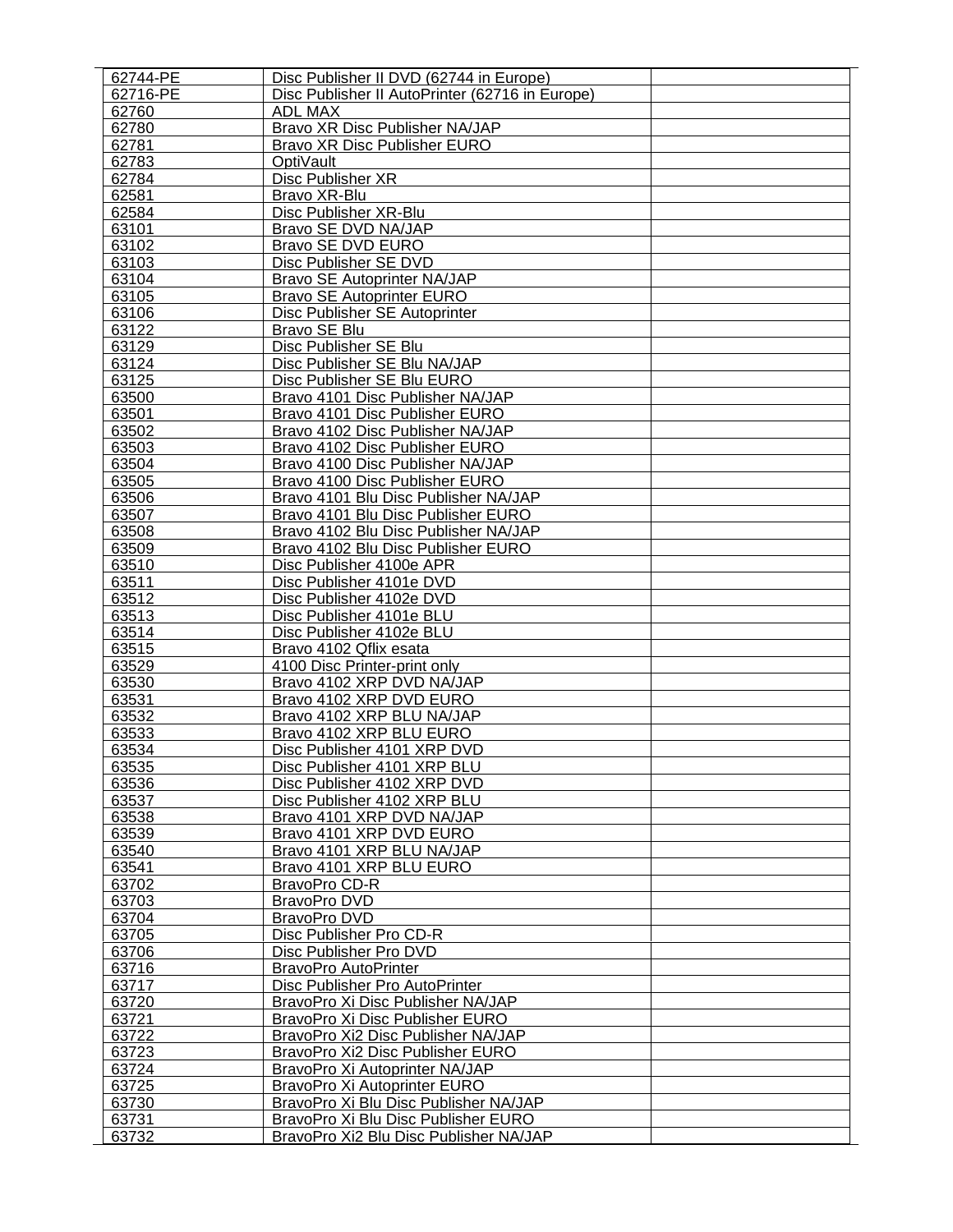| 62744-PE       | Disc Publisher II DVD (62744 in Europe)         |  |
|----------------|-------------------------------------------------|--|
| 62716-PE       | Disc Publisher II AutoPrinter (62716 in Europe) |  |
| 62760          | <b>ADL MAX</b>                                  |  |
| 62780          | Bravo XR Disc Publisher NA/JAP                  |  |
| 62781          | Bravo XR Disc Publisher EURO                    |  |
| 62783          | OptiVault                                       |  |
| 62784          | Disc Publisher XR                               |  |
| 62581          | Bravo XR-Blu                                    |  |
| 62584          | Disc Publisher XR-Blu                           |  |
| 63101          | Bravo SE DVD NA/JAP                             |  |
| 63102          | <b>Bravo SE DVD EURO</b>                        |  |
| 63103          | Disc Publisher SE DVD                           |  |
| 63104          | Bravo SE Autoprinter NA/JAP                     |  |
| 63105          | <b>Bravo SE Autoprinter EURO</b>                |  |
| 63106          | Disc Publisher SE Autoprinter                   |  |
| 63122          | Bravo SE Blu                                    |  |
| 63129          | Disc Publisher SE Blu                           |  |
| 63124          | Disc Publisher SE Blu NA/JAP                    |  |
| 63125          | Disc Publisher SE Blu EURO                      |  |
| 63500          | Bravo 4101 Disc Publisher NA/JAP                |  |
| 63501          | Bravo 4101 Disc Publisher EURO                  |  |
| 63502          | Bravo 4102 Disc Publisher NA/JAP                |  |
| 63503          | Bravo 4102 Disc Publisher EURO                  |  |
| 63504          | Bravo 4100 Disc Publisher NA/JAP                |  |
| 63505          | Bravo 4100 Disc Publisher EURO                  |  |
| 63506          | Bravo 4101 Blu Disc Publisher NA/JAP            |  |
| 63507          | Bravo 4101 Blu Disc Publisher EURO              |  |
| 63508          | Bravo 4102 Blu Disc Publisher NA/JAP            |  |
| 63509          | Bravo 4102 Blu Disc Publisher EURO              |  |
| 63510          | Disc Publisher 4100e APR                        |  |
| 63511          | Disc Publisher 4101e DVD                        |  |
| 63512          | Disc Publisher 4102e DVD                        |  |
| 63513          | Disc Publisher 4101e BLU                        |  |
| 63514          | Disc Publisher 4102e BLU                        |  |
| 63515          | Bravo 4102 Qflix esata                          |  |
| 63529          | 4100 Disc Printer-print only                    |  |
| 63530          | Bravo 4102 XRP DVD NA/JAP                       |  |
| 63531          | Bravo 4102 XRP DVD EURO                         |  |
| 63532          | Bravo 4102 XRP BLU NA/JAP                       |  |
| 63533          | Bravo 4102 XRP BLU EURO                         |  |
| 63534          | Disc Publisher 4101 XRP DVD                     |  |
| 63535          | Disc Publisher 4101 XRP BLU                     |  |
|                | Disc Publisher 4102 XRP DVD                     |  |
| 63536<br>63537 | Disc Publisher 4102 XRP BLU                     |  |
|                | Bravo 4101 XRP DVD NA/JAP                       |  |
| 63538          |                                                 |  |
| 63539          | Bravo 4101 XRP DVD EURO                         |  |
| 63540          | Bravo 4101 XRP BLU NA/JAP                       |  |
| 63541          | Bravo 4101 XRP BLU EURO                         |  |
| 63702          | BravoPro CD-R                                   |  |
| 63703          | BravoPro DVD                                    |  |
| 63704          | BravoPro DVD                                    |  |
| 63705          | Disc Publisher Pro CD-R                         |  |
| 63706          | Disc Publisher Pro DVD                          |  |
| 63716          | <b>BravoPro AutoPrinter</b>                     |  |
| 63717          | Disc Publisher Pro AutoPrinter                  |  |
| 63720          | BravoPro Xi Disc Publisher NA/JAP               |  |
| 63721          | BravoPro Xi Disc Publisher EURO                 |  |
| 63722          | BravoPro Xi2 Disc Publisher NA/JAP              |  |
| 63723          | BravoPro Xi2 Disc Publisher EURO                |  |
| 63724          | BravoPro Xi Autoprinter NA/JAP                  |  |
| 63725          | BravoPro Xi Autoprinter EURO                    |  |
| 63730          | BravoPro Xi Blu Disc Publisher NA/JAP           |  |
| 63731          | BravoPro Xi Blu Disc Publisher EURO             |  |
| 63732          | BravoPro Xi2 Blu Disc Publisher NA/JAP          |  |
|                |                                                 |  |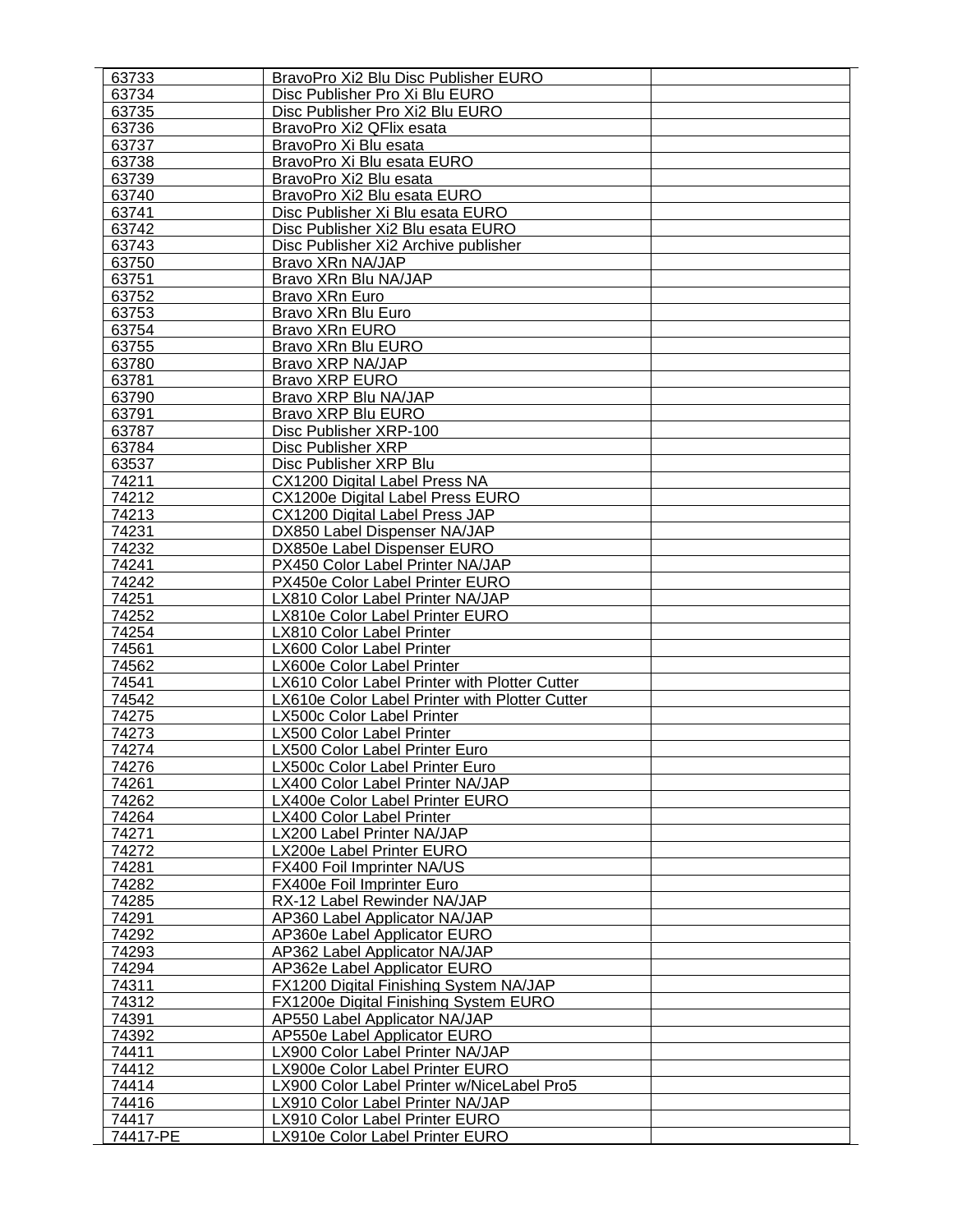| 63733             | BravoPro Xi2 Blu Disc Publisher EURO                              |  |
|-------------------|-------------------------------------------------------------------|--|
| 63734             | Disc Publisher Pro Xi Blu EURO                                    |  |
| 63735             | Disc Publisher Pro Xi2 Blu EURO                                   |  |
| 63736             | BravoPro Xi2 QFlix esata                                          |  |
| 63737             | BravoPro Xi Blu esata                                             |  |
| 63738             | BravoPro Xi Blu esata EURO                                        |  |
| 63739             | BravoPro Xi2 Blu esata                                            |  |
| 63740             | BravoPro Xi2 Blu esata EURO                                       |  |
| 63741             | Disc Publisher Xi Blu esata EURO                                  |  |
| 63742             | Disc Publisher Xi2 Blu esata EURO                                 |  |
| 63743             | Disc Publisher Xi2 Archive publisher                              |  |
| 63750             | Bravo XRn NA/JAP                                                  |  |
| 63751             | Bravo XRn Blu NA/JAP                                              |  |
| 63752             | Bravo XRn Euro                                                    |  |
| 63753             | Bravo XRn Blu Euro                                                |  |
| 63754             |                                                                   |  |
|                   | Bravo XRn EURO                                                    |  |
| 63755             | Bravo XRn Blu EURO                                                |  |
| 63780             | Bravo XRP NA/JAP                                                  |  |
| 63781             | <b>Bravo XRP EURO</b>                                             |  |
| 63790             | Bravo XRP Blu NA/JAP                                              |  |
| 63791             | <b>Bravo XRP Blu EURO</b>                                         |  |
| 63787             | Disc Publisher XRP-100                                            |  |
| 63784             | Disc Publisher XRP                                                |  |
| 63537             | Disc Publisher XRP Blu                                            |  |
| 74211             | CX1200 Digital Label Press NA                                     |  |
| 74212             | CX1200e Digital Label Press EURO                                  |  |
| 74213             | CX1200 Digital Label Press JAP                                    |  |
| 74231             | DX850 Label Dispenser NA/JAP                                      |  |
| 74232             | DX850e Label Dispenser EURO                                       |  |
| 74241             | PX450 Color Label Printer NA/JAP                                  |  |
| 74242             | PX450e Color Label Printer EURO                                   |  |
| 74251             | LX810 Color Label Printer NA/JAP                                  |  |
| 74252             | LX810e Color Label Printer EURO                                   |  |
| 74254             | LX810 Color Label Printer                                         |  |
| 74561             | LX600 Color Label Printer                                         |  |
| 74562             | LX600e Color Label Printer                                        |  |
| 74541             | LX610 Color Label Printer with Plotter Cutter                     |  |
| 74542             | LX610e Color Label Printer with Plotter Cutter                    |  |
| 74275             | LX500c Color Label Printer                                        |  |
|                   |                                                                   |  |
| 74273             | LX500 Color Label Printer                                         |  |
| 74274             | LX500 Color Label Printer Euro                                    |  |
| 74276             | LX500c Color Label Printer Euro                                   |  |
| 74261             |                                                                   |  |
|                   | LX400 Color Label Printer NA/JAP                                  |  |
| 74262             | LX400e Color Label Printer EURO                                   |  |
| 74264             | LX400 Color Label Printer                                         |  |
| 74271             | LX200 Label Printer NA/JAP                                        |  |
| 74272             | LX200e Label Printer EURO                                         |  |
| 74281             | FX400 Foil Imprinter NA/US                                        |  |
| 74282             | FX400e Foil Imprinter Euro                                        |  |
| 74285             | RX-12 Label Rewinder NA/JAP                                       |  |
| 74291             | AP360 Label Applicator NA/JAP                                     |  |
|                   | AP360e Label Applicator EURO                                      |  |
| 74292<br>74293    |                                                                   |  |
| 74294             | <b>AP362 Label Applicator NA/JAP</b>                              |  |
|                   | AP362e Label Applicator EURO                                      |  |
| 74311             | FX1200 Digital Finishing System NA/JAP                            |  |
| 74312             | FX1200e Digital Finishing System EURO                             |  |
| 74391             | AP550 Label Applicator NA/JAP                                     |  |
| 74392             | AP550e Label Applicator EURO                                      |  |
| 74411             | LX900 Color Label Printer NA/JAP                                  |  |
| 74412             | LX900e Color Label Printer EURO                                   |  |
| 74414             | LX900 Color Label Printer w/NiceLabel Pro5                        |  |
| 74416             | LX910 Color Label Printer NA/JAP                                  |  |
| 74417<br>74417-PE | LX910 Color Label Printer EURO<br>LX910e Color Label Printer EURO |  |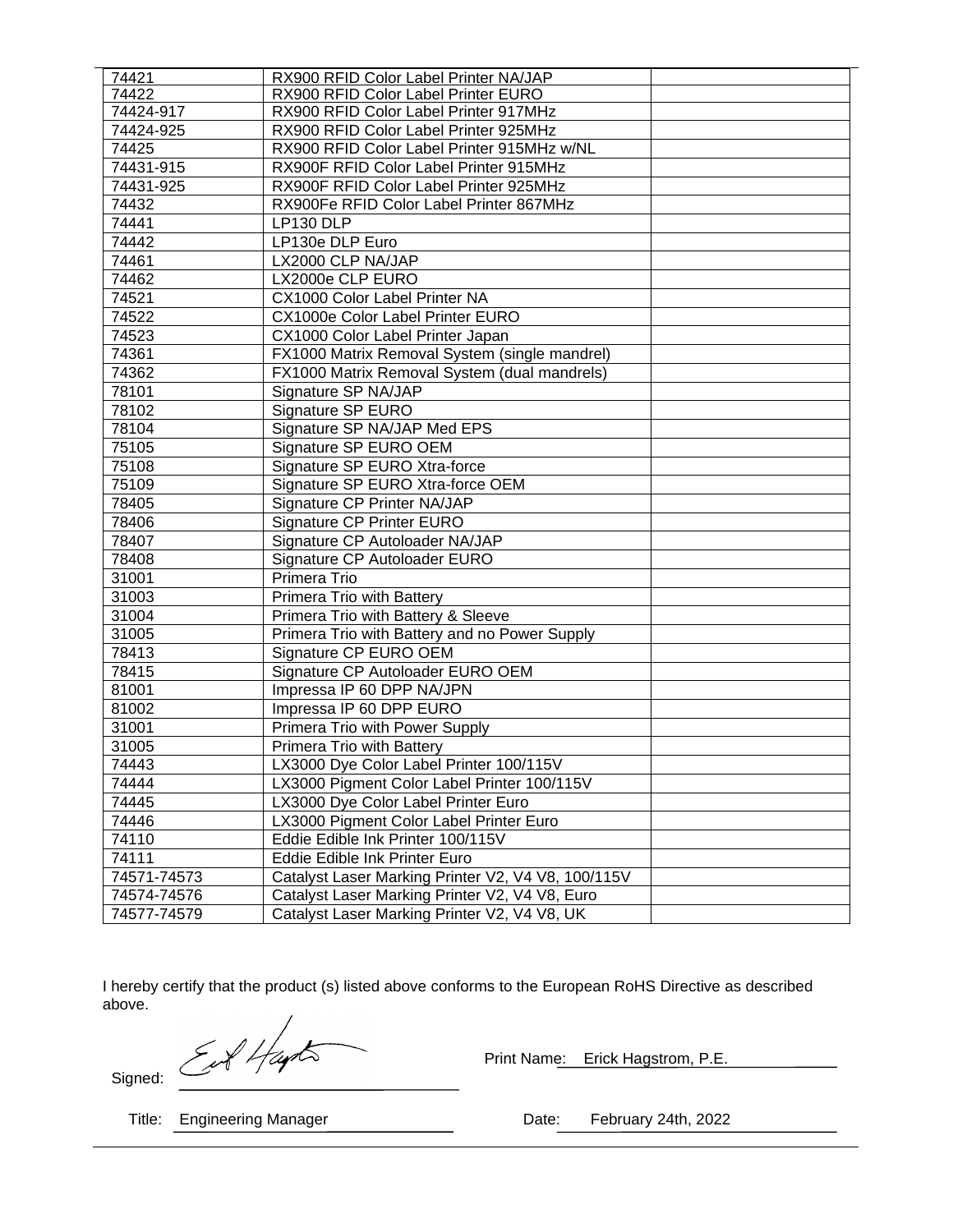| 74421       | RX900 RFID Color Label Printer NA/JAP              |  |
|-------------|----------------------------------------------------|--|
| 74422       | RX900 RFID Color Label Printer EURO                |  |
| 74424-917   | RX900 RFID Color Label Printer 917MHz              |  |
| 74424-925   | RX900 RFID Color Label Printer 925MHz              |  |
| 74425       | RX900 RFID Color Label Printer 915MHz w/NL         |  |
| 74431-915   | RX900F RFID Color Label Printer 915MHz             |  |
| 74431-925   | RX900F RFID Color Label Printer 925MHz             |  |
| 74432       | RX900Fe RFID Color Label Printer 867MHz            |  |
| 74441       | LP130 DLP                                          |  |
| 74442       | LP130e DLP Euro                                    |  |
| 74461       | LX2000 CLP NA/JAP                                  |  |
| 74462       | LX2000e CLP EURO                                   |  |
| 74521       | CX1000 Color Label Printer NA                      |  |
| 74522       | CX1000e Color Label Printer EURO                   |  |
| 74523       | CX1000 Color Label Printer Japan                   |  |
| 74361       | FX1000 Matrix Removal System (single mandrel)      |  |
| 74362       | FX1000 Matrix Removal System (dual mandrels)       |  |
| 78101       | Signature SP NA/JAP                                |  |
| 78102       | Signature SP EURO                                  |  |
| 78104       | Signature SP NA/JAP Med EPS                        |  |
| 75105       | Signature SP EURO OEM                              |  |
| 75108       | Signature SP EURO Xtra-force                       |  |
| 75109       | Signature SP EURO Xtra-force OEM                   |  |
| 78405       | Signature CP Printer NA/JAP                        |  |
| 78406       | Signature CP Printer EURO                          |  |
| 78407       | Signature CP Autoloader NA/JAP                     |  |
| 78408       | Signature CP Autoloader EURO                       |  |
| 31001       | Primera Trio                                       |  |
| 31003       | Primera Trio with Battery                          |  |
| 31004       | Primera Trio with Battery & Sleeve                 |  |
| 31005       | Primera Trio with Battery and no Power Supply      |  |
| 78413       | Signature CP EURO OEM                              |  |
| 78415       | Signature CP Autoloader EURO OEM                   |  |
| 81001       | Impressa IP 60 DPP NA/JPN                          |  |
| 81002       | Impressa IP 60 DPP EURO                            |  |
| 31001       | Primera Trio with Power Supply                     |  |
| 31005       | Primera Trio with Battery                          |  |
| 74443       | LX3000 Dye Color Label Printer 100/115V            |  |
| 74444       | LX3000 Pigment Color Label Printer 100/115V        |  |
| 74445       | LX3000 Dye Color Label Printer Euro                |  |
| 74446       | LX3000 Pigment Color Label Printer Euro            |  |
| 74110       | Eddie Edible Ink Printer 100/115V                  |  |
| 74111       | Eddie Edible Ink Printer Euro                      |  |
| 74571-74573 | Catalyst Laser Marking Printer V2, V4 V8, 100/115V |  |
| 74574-74576 | Catalyst Laser Marking Printer V2, V4 V8, Euro     |  |
| 74577-74579 | Catalyst Laser Marking Printer V2, V4 V8, UK       |  |

I hereby certify that the product (s) listed above conforms to the European RoHS Directive as described above.

EN Hayts

Print Name: Erick Hagstrom, P.E.

Signed:

Title: Engineering Manager **Date:** Pebruary 24th, 2022